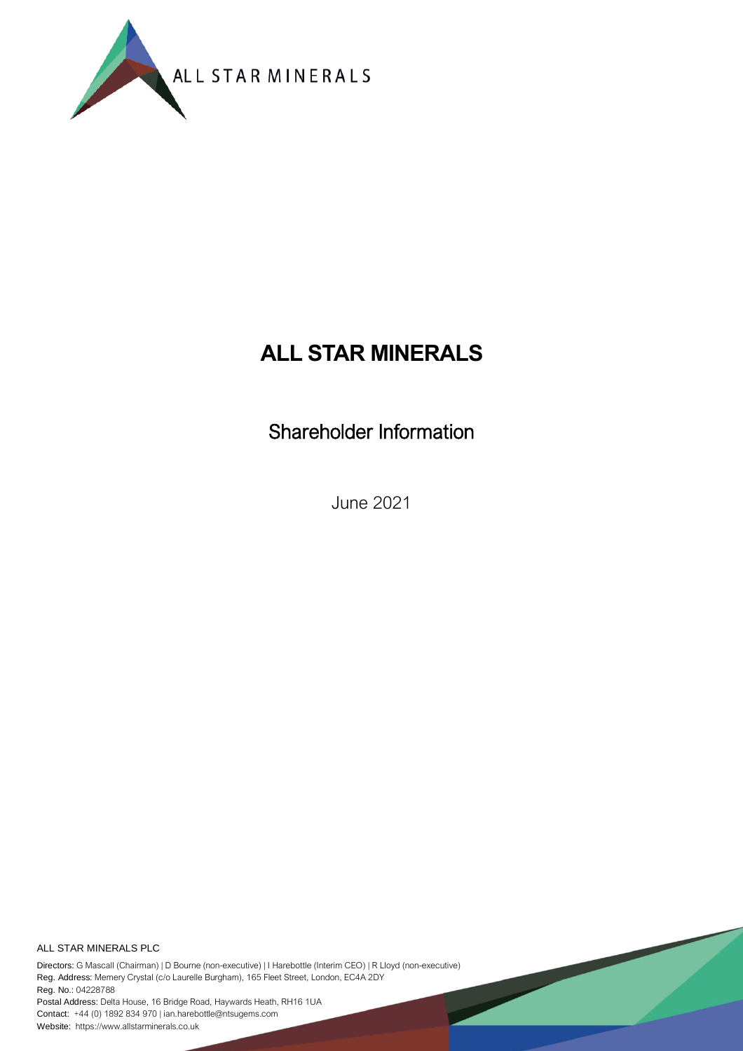

# **ALL STAR MINERALS**

Shareholder Information

June 2021

ALL STAR MINERALS PLC

Directors: G Mascall (Chairman) | D Bourne (non-executive) | I Harebottle (Interim CEO) | R Lloyd (non-executive) Reg. Address: Memery Crystal (c/o Laurelle Burgham), 165 Fleet Street, London, EC4A 2DY Reg. No.: 04228788

Postal Address: Delta House, 16 Bridge Road, Haywards Heath, RH16 1UA Contact: +44 (0) 1892 834 970 | ian.harebottle@ntsugems.com Website: https://www.allstarminerals.co.uk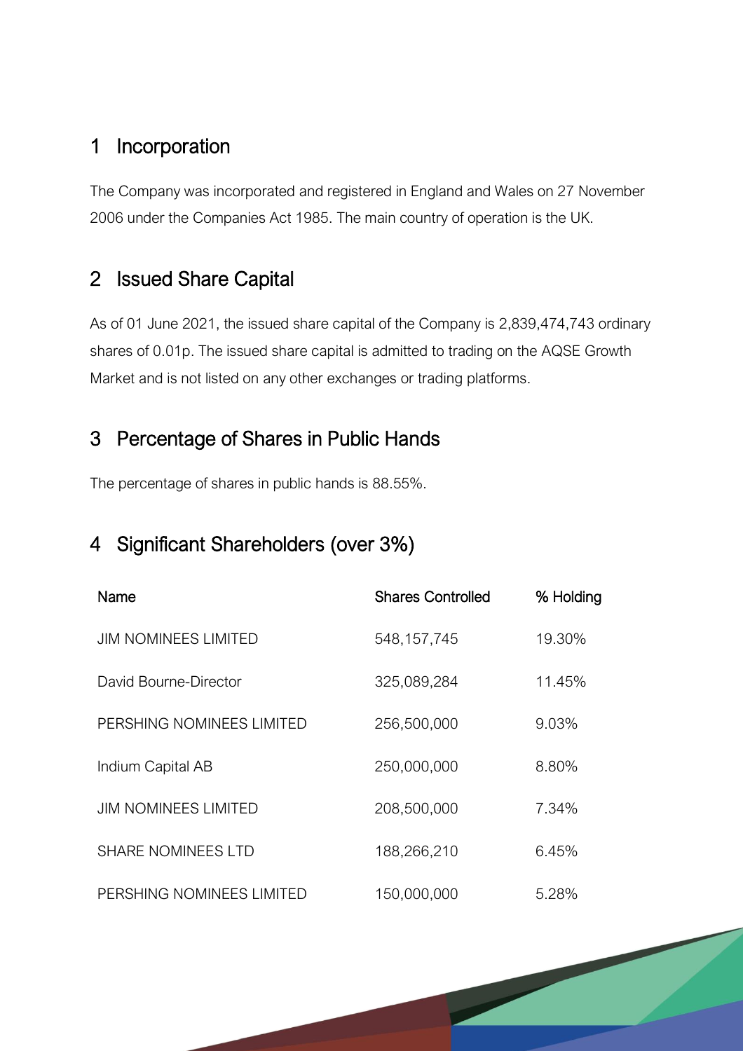#### 1 Incorporation

The Company was incorporated and registered in England and Wales on 27 November 2006 under the Companies Act 1985. The main country of operation is the UK.

#### 2 Issued Share Capital

As of 01 June 2021, the issued share capital of the Company is 2,839,474,743 ordinary shares of 0.01p. The issued share capital is admitted to trading on the AQSE Growth Market and is not listed on any other exchanges or trading platforms.

#### 3 Percentage of Shares in Public Hands

The percentage of shares in public hands is 88.55%.

### 4 Significant Shareholders (over 3%)

| Name                        | <b>Shares Controlled</b> | % Holding |
|-----------------------------|--------------------------|-----------|
| <b>JIM NOMINEES LIMITED</b> | 548, 157, 745            | 19.30%    |
| David Bourne-Director       | 325,089,284              | 11.45%    |
| PERSHING NOMINEES LIMITED   | 256,500,000              | 9.03%     |
| Indium Capital AB           | 250,000,000              | 8.80%     |
| <b>JIM NOMINEES LIMITED</b> | 208,500,000              | 7.34%     |
| <b>SHARE NOMINEES LTD</b>   | 188,266,210              | 6.45%     |
| PERSHING NOMINEES LIMITED   | 150,000,000              | 5.28%     |